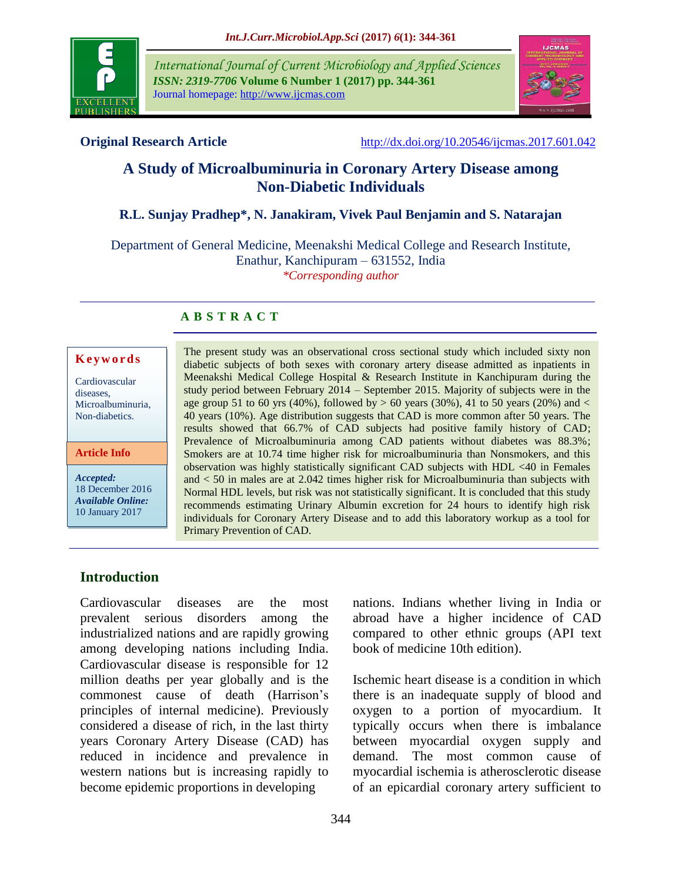

*International Journal of Current Microbiology and Applied Sciences ISSN: 2319-7706* **Volume 6 Number 1 (2017) pp. 344-361** Journal homepage: http://www.ijcmas.com



**Original Research Article** <http://dx.doi.org/10.20546/ijcmas.2017.601.042>

# **A Study of Microalbuminuria in Coronary Artery Disease among Non-Diabetic Individuals**

# **R.L. Sunjay Pradhep\*, N. Janakiram, Vivek Paul Benjamin and S. Natarajan**

Department of General Medicine, Meenakshi Medical College and Research Institute, Enathur, Kanchipuram – 631552, India *\*Corresponding author*

# **A B S T R A C T**

#### **K e y w o r d s**

Cardiovascular diseases, Microalbuminuria, Non-diabetics.

**Article Info**

*Accepted:*  18 December 2016 *Available Online:* 10 January 2017

The present study was an observational cross sectional study which included sixty non diabetic subjects of both sexes with coronary artery disease admitted as inpatients in Meenakshi Medical College Hospital & Research Institute in Kanchipuram during the study period between February 2014 – September 2015. Majority of subjects were in the age group 51 to 60 yrs (40%), followed by  $> 60$  years (30%), 41 to 50 years (20%) and  $<$ 40 years (10%). Age distribution suggests that CAD is more common after 50 years. The results showed that 66.7% of CAD subjects had positive family history of CAD; Prevalence of Microalbuminuria among CAD patients without diabetes was 88.3%; Smokers are at 10.74 time higher risk for microalbuminuria than Nonsmokers, and this observation was highly statistically significant CAD subjects with HDL <40 in Females and < 50 in males are at 2.042 times higher risk for Microalbuminuria than subjects with Normal HDL levels, but risk was not statistically significant. It is concluded that this study recommends estimating Urinary Albumin excretion for 24 hours to identify high risk individuals for Coronary Artery Disease and to add this laboratory workup as a tool for Primary Prevention of CAD.

# **Introduction**

Cardiovascular diseases are the most prevalent serious disorders among the industrialized nations and are rapidly growing among developing nations including India. Cardiovascular disease is responsible for 12 million deaths per year globally and is the commonest cause of death (Harrison's principles of internal medicine). Previously considered a disease of rich, in the last thirty years Coronary Artery Disease (CAD) has reduced in incidence and prevalence in western nations but is increasing rapidly to become epidemic proportions in developing

nations. Indians whether living in India or abroad have a higher incidence of CAD compared to other ethnic groups (API text book of medicine 10th edition).

Ischemic heart disease is a condition in which there is an inadequate supply of blood and oxygen to a portion of myocardium. It typically occurs when there is imbalance between myocardial oxygen supply and demand. The most common cause of myocardial ischemia is atherosclerotic disease of an epicardial coronary artery sufficient to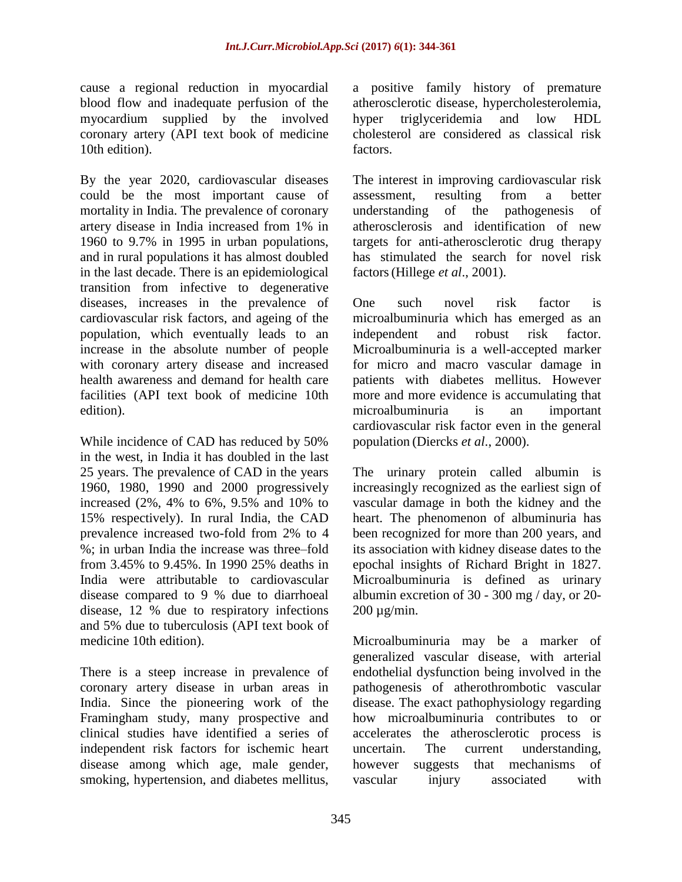cause a regional reduction in myocardial blood flow and inadequate perfusion of the myocardium supplied by the involved coronary artery (API text book of medicine 10th edition).

By the year 2020, cardiovascular diseases could be the most important cause of mortality in India. The prevalence of coronary artery disease in India increased from 1% in 1960 to 9.7% in 1995 in urban populations, and in rural populations it has almost doubled in the last decade. There is an epidemiological transition from infective to degenerative diseases, increases in the prevalence of cardiovascular risk factors, and ageing of the population, which eventually leads to an increase in the absolute number of people with coronary artery disease and increased health awareness and demand for health care facilities (API text book of medicine 10th edition).

While incidence of CAD has reduced by 50% in the west, in India it has doubled in the last 25 years. The prevalence of CAD in the years 1960, 1980, 1990 and 2000 progressively increased (2%, 4% to 6%, 9.5% and 10% to 15% respectively). In rural India, the CAD prevalence increased two-fold from 2% to 4 %; in urban India the increase was three–fold from 3.45% to 9.45%. In 1990 25% deaths in India were attributable to cardiovascular disease compared to 9 % due to diarrhoeal disease, 12 % due to respiratory infections and 5% due to tuberculosis (API text book of medicine 10th edition).

There is a steep increase in prevalence of coronary artery disease in urban areas in India. Since the pioneering work of the Framingham study, many prospective and clinical studies have identified a series of independent risk factors for ischemic heart disease among which age, male gender, smoking, hypertension, and diabetes mellitus, a positive family history of premature atherosclerotic disease, hypercholesterolemia, hyper triglyceridemia and low HDL cholesterol are considered as classical risk factors.

The interest in improving cardiovascular risk assessment, resulting from a better understanding of the pathogenesis of atherosclerosis and identification of new targets for anti-atherosclerotic drug therapy has stimulated the search for novel risk factors(Hillege *et al*., 2001).

One such novel risk factor is microalbuminuria which has emerged as an independent and robust risk factor. Microalbuminuria is a well-accepted marker for micro and macro vascular damage in patients with diabetes mellitus. However more and more evidence is accumulating that microalbuminuria is an important cardiovascular risk factor even in the general population (Diercks *et al*., 2000).

The urinary protein called albumin is increasingly recognized as the earliest sign of vascular damage in both the kidney and the heart. The phenomenon of albuminuria has been recognized for more than 200 years, and its association with kidney disease dates to the epochal insights of Richard Bright in 1827. Microalbuminuria is defined as urinary albumin excretion of 30 - 300 mg / day, or 20- 200 µg/min.

Microalbuminuria may be a marker of generalized vascular disease, with arterial endothelial dysfunction being involved in the pathogenesis of atherothrombotic vascular disease. The exact pathophysiology regarding how microalbuminuria contributes to or accelerates the atherosclerotic process is uncertain. The current understanding, however suggests that mechanisms of vascular injury associated with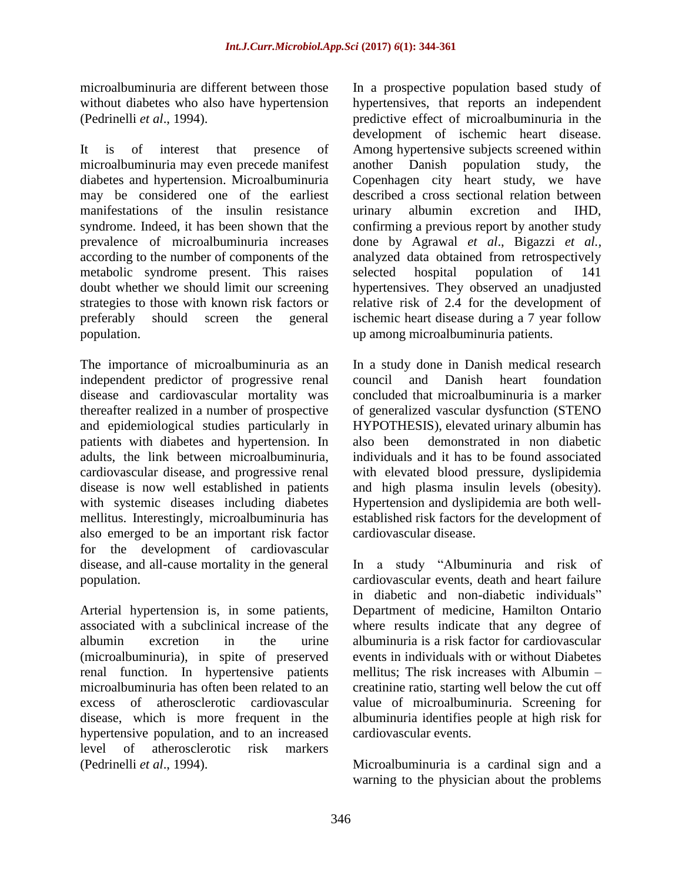microalbuminuria are different between those without diabetes who also have hypertension (Pedrinelli *et al*., 1994).

It is of interest that presence of microalbuminuria may even precede manifest diabetes and hypertension. Microalbuminuria may be considered one of the earliest manifestations of the insulin resistance syndrome. Indeed, it has been shown that the prevalence of microalbuminuria increases according to the number of components of the metabolic syndrome present. This raises doubt whether we should limit our screening strategies to those with known risk factors or preferably should screen the general population.

The importance of microalbuminuria as an independent predictor of progressive renal disease and cardiovascular mortality was thereafter realized in a number of prospective and epidemiological studies particularly in patients with diabetes and hypertension. In adults, the link between microalbuminuria, cardiovascular disease, and progressive renal disease is now well established in patients with systemic diseases including diabetes mellitus. Interestingly, microalbuminuria has also emerged to be an important risk factor for the development of cardiovascular disease, and all-cause mortality in the general population.

Arterial hypertension is, in some patients, associated with a subclinical increase of the albumin excretion in the urine (microalbuminuria), in spite of preserved renal function. In hypertensive patients microalbuminuria has often been related to an excess of atherosclerotic cardiovascular disease, which is more frequent in the hypertensive population, and to an increased level of atherosclerotic risk markers (Pedrinelli *et al*., 1994).

In a prospective population based study of hypertensives, that reports an independent predictive effect of microalbuminuria in the development of ischemic heart disease. Among hypertensive subjects screened within another Danish population study, the Copenhagen city heart study, we have described a cross sectional relation between urinary albumin excretion and IHD, confirming a previous report by another study done by Agrawal *et al*., Bigazzi *et al.,* analyzed data obtained from retrospectively selected hospital population of 141 hypertensives. They observed an unadjusted relative risk of 2.4 for the development of ischemic heart disease during a 7 year follow up among microalbuminuria patients.

In a study done in Danish medical research council and Danish heart foundation concluded that microalbuminuria is a marker of generalized vascular dysfunction (STENO HYPOTHESIS), elevated urinary albumin has also been demonstrated in non diabetic individuals and it has to be found associated with elevated blood pressure, dyslipidemia and high plasma insulin levels (obesity). Hypertension and dyslipidemia are both wellestablished risk factors for the development of cardiovascular disease.

In a study "Albuminuria and risk of cardiovascular events, death and heart failure in diabetic and non-diabetic individuals" Department of medicine, Hamilton Ontario where results indicate that any degree of albuminuria is a risk factor for cardiovascular events in individuals with or without Diabetes mellitus; The risk increases with Albumin – creatinine ratio, starting well below the cut off value of microalbuminuria. Screening for albuminuria identifies people at high risk for cardiovascular events.

Microalbuminuria is a cardinal sign and a warning to the physician about the problems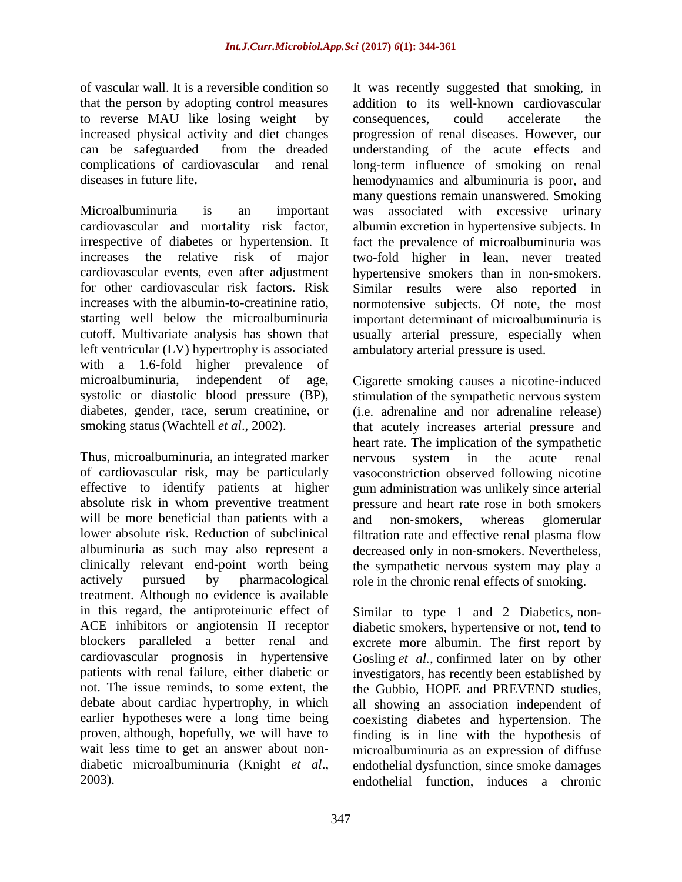of vascular wall. It is a reversible condition so that the person by adopting control measures to reverse MAU like losing weight by increased physical activity and diet changes can be safeguarded from the dreaded complications of cardiovascular and renal diseases in future life**.**

Microalbuminuria is an important cardiovascular and mortality risk factor, irrespective of diabetes or hypertension. It increases the relative risk of major cardiovascular events, even after adjustment for other cardiovascular risk factors. Risk increases with the albumin-to-creatinine ratio, starting well below the microalbuminuria cutoff. Multivariate analysis has shown that left ventricular (LV) hypertrophy is associated with a 1.6-fold higher prevalence of microalbuminuria, independent of age, systolic or diastolic blood pressure (BP), diabetes, gender, race, serum creatinine, or smoking status(Wachtell *et al*., 2002).

Thus, microalbuminuria, an integrated marker of cardiovascular risk, may be particularly effective to identify patients at higher absolute risk in whom preventive treatment will be more beneficial than patients with a lower absolute risk. Reduction of subclinical albuminuria as such may also represent a clinically relevant end-point worth being actively pursued by pharmacological treatment. Although no evidence is available in this regard, the antiproteinuric effect of ACE inhibitors or angiotensin II receptor blockers paralleled a better renal and cardiovascular prognosis in hypertensive patients with renal failure, either diabetic or not. The issue reminds, to some extent, the debate about cardiac hypertrophy, in which earlier hypotheses were a long time being proven, although, hopefully, we will have to wait less time to get an answer about nondiabetic microalbuminuria (Knight *et al*., 2003).

It was recently suggested that smoking, in addition to its well‐known cardiovascular consequences, could accelerate the progression of renal diseases. However, our understanding of the acute effects and long‐term influence of smoking on renal hemodynamics and albuminuria is poor, and many questions remain unanswered. Smoking was associated with excessive urinary albumin excretion in hypertensive subjects. In fact the prevalence of microalbuminuria was two-fold higher in lean, never treated hypertensive smokers than in non‐smokers. Similar results were also reported in normotensive subjects. Of note, the most important determinant of microalbuminuria is usually arterial pressure, especially when ambulatory arterial pressure is used.

Cigarette smoking causes a nicotine‐induced stimulation of the sympathetic nervous system (i.e. adrenaline and nor adrenaline release) that acutely increases arterial pressure and heart rate. The implication of the sympathetic nervous system in the acute renal vasoconstriction observed following nicotine gum administration was unlikely since arterial pressure and heart rate rose in both smokers and non‐smokers, whereas glomerular filtration rate and effective renal plasma flow decreased only in non‐smokers. Nevertheless, the sympathetic nervous system may play a role in the chronic renal effects of smoking.

Similar to type 1 and 2 Diabetics, nondiabetic smokers, hypertensive or not, tend to excrete more albumin. The first report by Gosling *et al.*, confirmed later on by other investigators, has recently been established by the Gubbio, HOPE and PREVEND studies, all showing an association independent of coexisting diabetes and hypertension. The finding is in line with the hypothesis of microalbuminuria as an expression of diffuse endothelial dysfunction, since smoke damages endothelial function, induces a chronic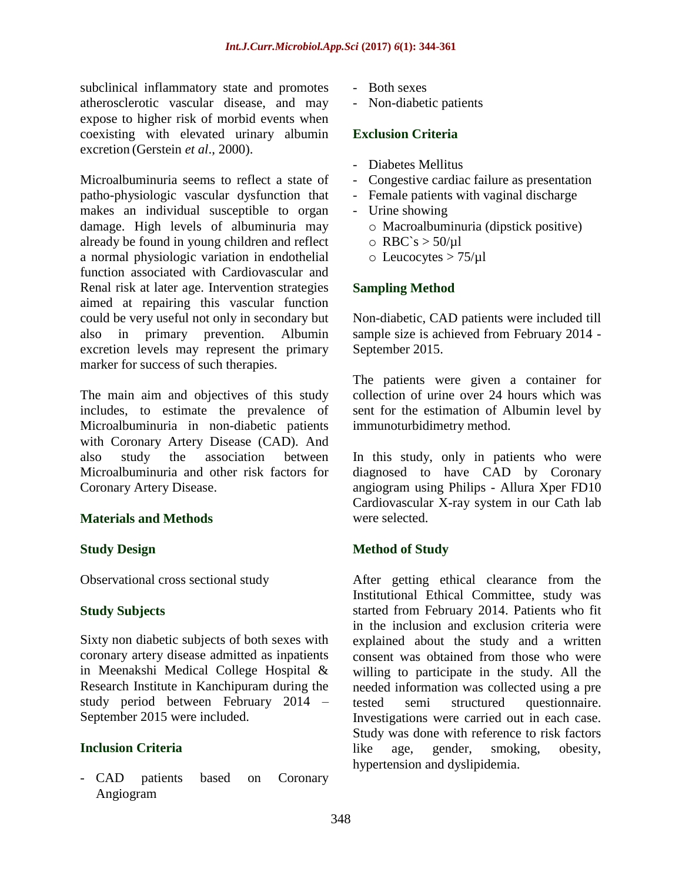subclinical inflammatory state and promotes atherosclerotic vascular disease, and may expose to higher risk of morbid events when coexisting with elevated urinary albumin excretion (Gerstein *et al*., 2000).

Microalbuminuria seems to reflect a state of patho-physiologic vascular dysfunction that makes an individual susceptible to organ damage. High levels of albuminuria may already be found in young children and reflect a normal physiologic variation in endothelial function associated with Cardiovascular and Renal risk at later age. Intervention strategies aimed at repairing this vascular function could be very useful not only in secondary but also in primary prevention. Albumin excretion levels may represent the primary marker for success of such therapies.

The main aim and objectives of this study includes, to estimate the prevalence of Microalbuminuria in non-diabetic patients with Coronary Artery Disease (CAD). And also study the association between Microalbuminuria and other risk factors for Coronary Artery Disease.

# **Materials and Methods**

# **Study Design**

Observational cross sectional study

# **Study Subjects**

Sixty non diabetic subjects of both sexes with coronary artery disease admitted as inpatients in Meenakshi Medical College Hospital & Research Institute in Kanchipuram during the study period between February 2014 – September 2015 were included.

# **Inclusion Criteria**

- CAD patients based on Coronary Angiogram

- Both sexes
- Non-diabetic patients

## **Exclusion Criteria**

- Diabetes Mellitus
- Congestive cardiac failure as presentation
- Female patients with vaginal discharge
- Urine showing
	- o Macroalbuminuria (dipstick positive)
	- $\circ$  RBC`s > 50/µl
	- $\circ$  Leucocytes  $> 75/\mu l$

# **Sampling Method**

Non-diabetic, CAD patients were included till sample size is achieved from February 2014 - September 2015.

The patients were given a container for collection of urine over 24 hours which was sent for the estimation of Albumin level by immunoturbidimetry method.

In this study, only in patients who were diagnosed to have CAD by Coronary angiogram using Philips - Allura Xper FD10 Cardiovascular X-ray system in our Cath lab were selected.

# **Method of Study**

After getting ethical clearance from the Institutional Ethical Committee, study was started from February 2014. Patients who fit in the inclusion and exclusion criteria were explained about the study and a written consent was obtained from those who were willing to participate in the study. All the needed information was collected using a pre tested semi structured questionnaire. Investigations were carried out in each case. Study was done with reference to risk factors like age, gender, smoking, obesity, hypertension and dyslipidemia.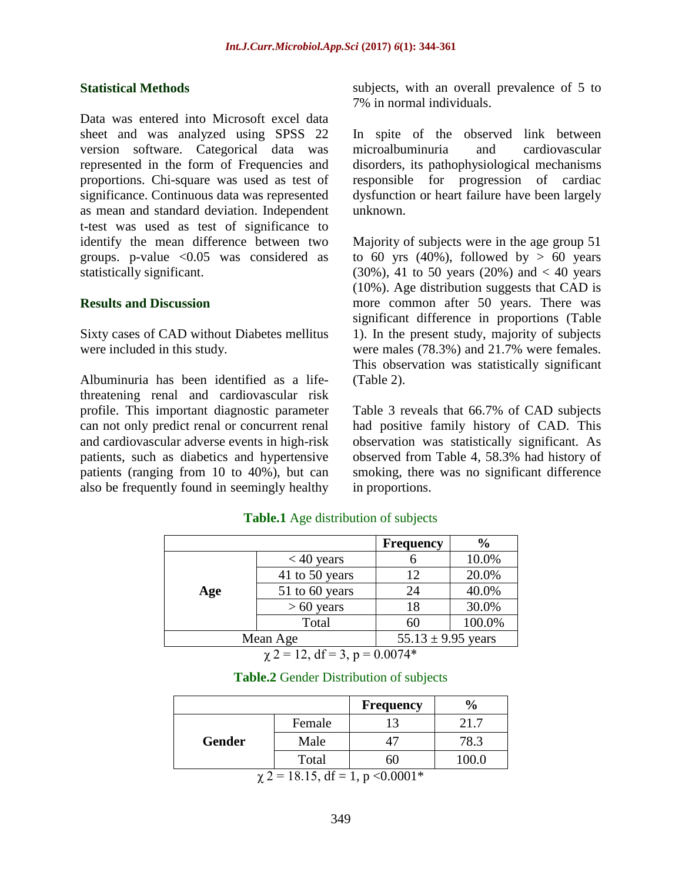#### **Statistical Methods**

Data was entered into Microsoft excel data sheet and was analyzed using SPSS 22 version software. Categorical data was represented in the form of Frequencies and proportions. Chi-square was used as test of significance. Continuous data was represented as mean and standard deviation. Independent t-test was used as test of significance to identify the mean difference between two groups. p-value <0.05 was considered as statistically significant.

#### **Results and Discussion**

Sixty cases of CAD without Diabetes mellitus were included in this study.

Albuminuria has been identified as a lifethreatening renal and cardiovascular risk profile. This important diagnostic parameter can not only predict renal or concurrent renal and cardiovascular adverse events in high-risk patients, such as diabetics and hypertensive patients (ranging from 10 to 40%), but can also be frequently found in seemingly healthy subjects, with an overall prevalence of 5 to 7% in normal individuals.

In spite of the observed link between microalbuminuria and cardiovascular disorders, its pathophysiological mechanisms responsible for progression of cardiac dysfunction or heart failure have been largely unknown.

Majority of subjects were in the age group 51 to 60 yrs  $(40\%)$ , followed by > 60 years (30%), 41 to 50 years (20%) and  $< 40$  years (10%). Age distribution suggests that CAD is more common after 50 years. There was significant difference in proportions (Table 1). In the present study, majority of subjects were males (78.3%) and 21.7% were females. This observation was statistically significant (Table 2).

Table 3 reveals that 66.7% of CAD subjects had positive family history of CAD. This observation was statistically significant. As observed from Table 4, 58.3% had history of smoking, there was no significant difference in proportions.

|     |                | <b>Frequency</b>       | $\frac{0}{0}$ |
|-----|----------------|------------------------|---------------|
|     | $< 40$ years   |                        | 10.0%         |
|     | 41 to 50 years | 12                     | 20.0%         |
| Age | 51 to 60 years | 24                     | 40.0%         |
|     | $> 60$ years   | 18                     | 30.0%         |
|     | Total          | 60                     | 100.0%        |
|     | Mean Age       | 55.13 $\pm$ 9.95 years |               |

### **Table.1** Age distribution of subjects

 $\chi$  2 = 12, df = 3, p = 0.0074\*

|        |                                                | <b>Frequency</b> | $\frac{6}{9}$ |
|--------|------------------------------------------------|------------------|---------------|
|        | Female                                         |                  | 21.7          |
| Gender | Male                                           |                  | 78.3          |
|        | Total                                          | 60               | 100.0         |
|        | $\mu$ 2 = 10 15 df = 1 $\mu$ $\lambda$ 0.0001* |                  |               |

 $\chi$  2 = 18.15, df = 1, p < 0.0001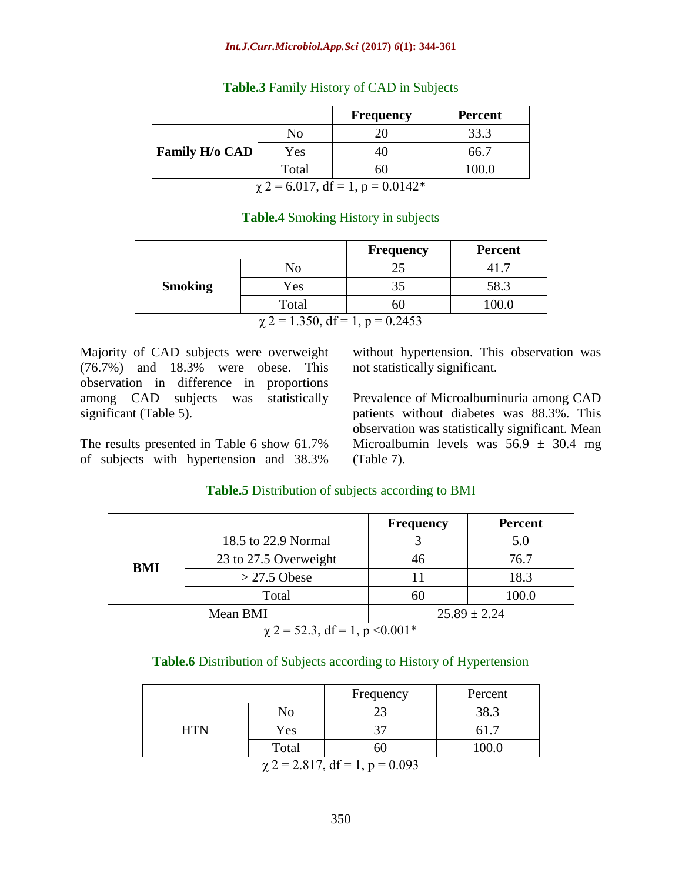#### *Int.J.Curr.Microbiol.App.Sci* **(2017)** *6***(1): 344-361**

|                                       |       | <b>Frequency</b> | <b>Percent</b> |  |  |
|---------------------------------------|-------|------------------|----------------|--|--|
|                                       | No    |                  | 33.3           |  |  |
| <b>Family H/o CAD</b>                 | Yes   |                  | 66.7           |  |  |
|                                       | Total | 60               | 100.0          |  |  |
| $\chi$ 2 = 6.017, df = 1, p = 0.0142* |       |                  |                |  |  |

#### **Table.3** Family History of CAD in Subjects

### **Table.4** Smoking History in subjects

|                                             |       | <b>Frequency</b> | <b>Percent</b> |  |  |  |
|---------------------------------------------|-------|------------------|----------------|--|--|--|
|                                             | No    |                  |                |  |  |  |
| <b>Smoking</b>                              | Yes   | 35               | 58.3           |  |  |  |
|                                             | Total | ωO               |                |  |  |  |
| $\therefore$ 2 = 1.250 $\pm$ 1 = 1 = 0.2452 |       |                  |                |  |  |  |

 $\chi$  2 = 1.350, df = 1, p = 0.2453

Majority of CAD subjects were overweight (76.7%) and 18.3% were obese. This observation in difference in proportions among CAD subjects was statistically significant (Table 5).

The results presented in Table 6 show 61.7% of subjects with hypertension and 38.3%

without hypertension. This observation was not statistically significant.

Prevalence of Microalbuminuria among CAD patients without diabetes was 88.3%. This observation was statistically significant. Mean Microalbumin levels was  $56.9 \pm 30.4$  mg (Table 7).

# **Frequency Percent BMI** 18.5 to 22.9 Normal 3 5.0 23 to 27.5 Overweight 46 76.7  $> 27.5$  Obese 11 18.3 Total 60 100.0 Mean BMI 25.89  $\pm 2.24$

# **Table.5** Distribution of subjects according to BMI

 $\chi$  2 = 52.3, df = 1, p < 0.001\*

### **Table.6** Distribution of Subjects according to History of Hypertension

|            |                                           | Frequency | Percent |
|------------|-------------------------------------------|-----------|---------|
|            | No                                        | $\cap$    | 38.3    |
| <b>HTN</b> | Yes                                       | 27        |         |
|            | Total                                     | ы         | 100.0   |
|            | 0.017.10<br>0.002<br>$\blacktriangleleft$ |           |         |

 $\chi$  2 = 2.817, df = 1, p = 0.093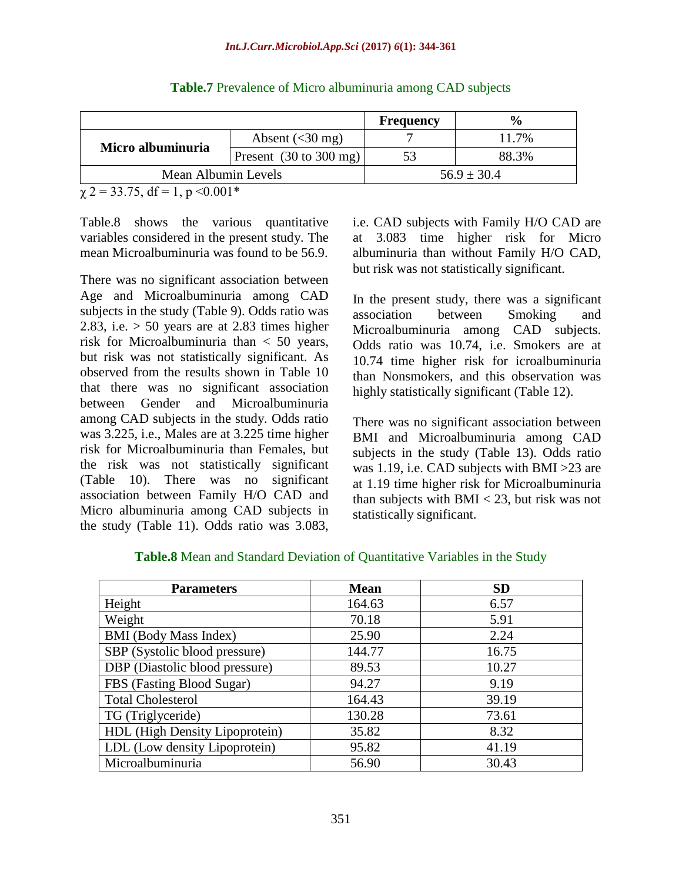|                     |                                           | <b>Frequency</b> | $\frac{6}{6}$   |
|---------------------|-------------------------------------------|------------------|-----------------|
|                     | Absent $(30 \text{ mg})$                  |                  | 11.7%           |
| Micro albuminuria   | Present $(30 \text{ to } 300 \text{ mg})$ |                  | 88.3%           |
| Mean Albumin Levels |                                           |                  | $56.9 \pm 30.4$ |

|  |  | <b>Table.7</b> Prevalence of Micro albuminuria among CAD subjects |  |
|--|--|-------------------------------------------------------------------|--|
|  |  |                                                                   |  |

 $\chi$  2 = 33.75, df = 1, p < 0.001\*

Table.8 shows the various quantitative variables considered in the present study. The mean Microalbuminuria was found to be 56.9.

There was no significant association between Age and Microalbuminuria among CAD subjects in the study (Table 9). Odds ratio was 2.83, i.e.  $> 50$  years are at 2.83 times higher risk for Microalbuminuria than < 50 years, but risk was not statistically significant. As observed from the results shown in Table 10 that there was no significant association between Gender and Microalbuminuria among CAD subjects in the study. Odds ratio was 3.225, i.e., Males are at 3.225 time higher risk for Microalbuminuria than Females, but the risk was not statistically significant (Table 10). There was no significant association between Family H/O CAD and Micro albuminuria among CAD subjects in the study (Table 11). Odds ratio was 3.083,

i.e. CAD subjects with Family H/O CAD are at 3.083 time higher risk for Micro albuminuria than without Family H/O CAD, but risk was not statistically significant.

In the present study, there was a significant association between Smoking and Microalbuminuria among CAD subjects. Odds ratio was 10.74, i.e. Smokers are at 10.74 time higher risk for icroalbuminuria than Nonsmokers, and this observation was highly statistically significant (Table 12).

There was no significant association between BMI and Microalbuminuria among CAD subjects in the study (Table 13). Odds ratio was 1.19, i.e. CAD subjects with BMI >23 are at 1.19 time higher risk for Microalbuminuria than subjects with  $BMI < 23$ , but risk was not statistically significant.

| <b>Parameters</b>              | <b>Mean</b> | <b>SD</b> |
|--------------------------------|-------------|-----------|
| Height                         | 164.63      | 6.57      |
| Weight                         | 70.18       | 5.91      |
| <b>BMI</b> (Body Mass Index)   | 25.90       | 2.24      |
| SBP (Systolic blood pressure)  | 144.77      | 16.75     |
| DBP (Diastolic blood pressure) | 89.53       | 10.27     |
| FBS (Fasting Blood Sugar)      | 94.27       | 9.19      |
| <b>Total Cholesterol</b>       | 164.43      | 39.19     |
| TG (Triglyceride)              | 130.28      | 73.61     |
| HDL (High Density Lipoprotein) | 35.82       | 8.32      |
| LDL (Low density Lipoprotein)  | 95.82       | 41.19     |
| Microalbuminuria               | 56.90       | 30.43     |

# **Table.8** Mean and Standard Deviation of Quantitative Variables in the Study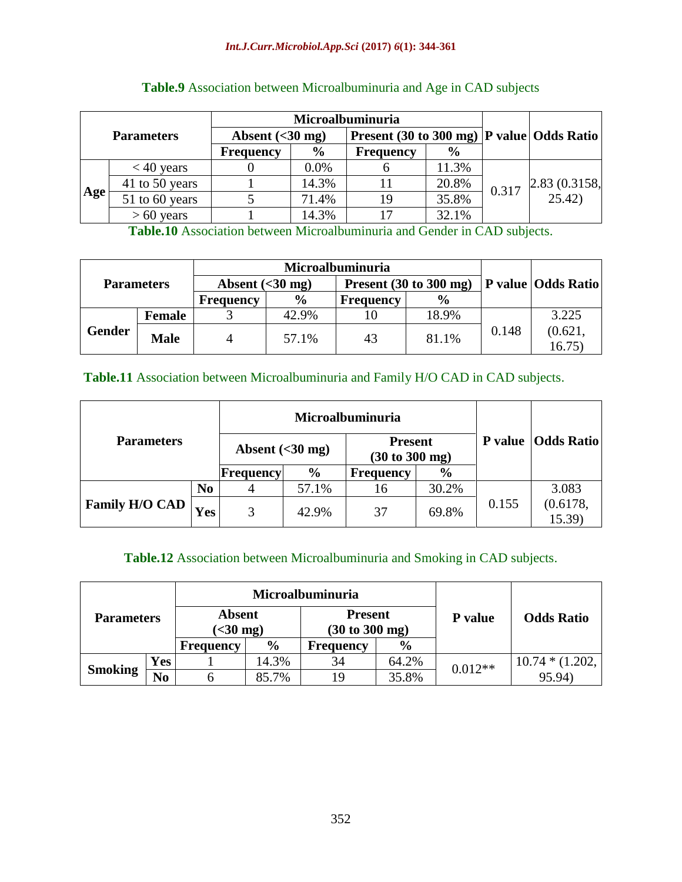|                   |                |                                                                                     |                | Microalbuminuria |       |       |                                                           |
|-------------------|----------------|-------------------------------------------------------------------------------------|----------------|------------------|-------|-------|-----------------------------------------------------------|
| <b>Parameters</b> |                | <b>Present</b> (30 to 300 mg) $ P$ value $Q$ Odds Ratio<br>Absent $(30 \text{ mg})$ |                |                  |       |       |                                                           |
|                   |                | <b>Frequency</b>                                                                    | $\frac{6}{10}$ | <b>Frequency</b> | $\%$  |       |                                                           |
|                   | $<$ 40 years   |                                                                                     | 0.0%           |                  | 11.3% |       |                                                           |
|                   | 41 to 50 years |                                                                                     | 14.3%          |                  | 20.8% | 0.317 | $\begin{bmatrix} 2.83 & (0.3158, \\ 25.42) \end{bmatrix}$ |
| Age               | 51 to 60 years |                                                                                     | 71.4%          | 19               | 35.8% |       |                                                           |
|                   | $> 60$ years   |                                                                                     | 14.3%          |                  | 32.1% |       |                                                           |

# **Table.9** Association between Microalbuminuria and Age in CAD subjects

**Table.10** Association between Microalbuminuria and Gender in CAD subjects.

| <b>Parameters</b> |             | Absent $(30 \text{ mg})$ |               | Present $(30 to 300 mg)$ |               |       | <b>P</b> value Odds Ratio |
|-------------------|-------------|--------------------------|---------------|--------------------------|---------------|-------|---------------------------|
|                   |             | <b>Frequency</b>         | $\frac{6}{6}$ | <b>Frequency</b>         | $\frac{0}{0}$ |       |                           |
|                   | Female      |                          | 42.9%         |                          | 18.9%         |       | 3.225                     |
| <b>Gender</b>     | <b>Male</b> | 4                        | 57.1%         | 43                       | 81.1%         | 0.148 | (0.621)<br>16.75          |

## **Table.11** Association between Microalbuminuria and Family H/O CAD in CAD subjects.

| <b>Parameters</b>     |                |                          | Microalbuminuria |                  | P value   Odds Ratio |                                                     |                   |
|-----------------------|----------------|--------------------------|------------------|------------------|----------------------|-----------------------------------------------------|-------------------|
|                       |                | Absent $(30 \text{ mg})$ |                  |                  |                      | <b>Present</b><br>$(30 \text{ to } 300 \text{ mg})$ |                   |
|                       |                | Frequency                | $\frac{6}{9}$    | <b>Frequency</b> | $\frac{6}{9}$        |                                                     |                   |
|                       | N <sub>0</sub> |                          | 57.1%            | 16               | 30.2%                |                                                     | 3.083             |
| <b>Family H/O CAD</b> | <b>Yes</b>     | 3                        | 42.9%            | 37               | 69.8%                | 0.155                                               | (0.6178,<br>15.39 |

## **Table.12** Association between Microalbuminuria and Smoking in CAD subjects.

| <b>Parameters</b> |    |                                     | <b>Microalbuminuria</b> |                                                     | <b>Odds Ratio</b> |           |                   |
|-------------------|----|-------------------------------------|-------------------------|-----------------------------------------------------|-------------------|-----------|-------------------|
|                   |    | <b>Absent</b><br>$(<30 \text{ mg})$ |                         | <b>Present</b><br>$(30 \text{ to } 300 \text{ mg})$ |                   |           | <b>P</b> value    |
|                   |    | <b>Frequency</b>                    | $\frac{6}{9}$           | <b>Frequency</b>                                    | $\frac{6}{9}$     |           |                   |
| Yes               |    |                                     | 14.3%                   | 34                                                  | 64.2%             | $0.012**$ | $10.74 * (1.202,$ |
| <b>Smoking</b>    | No |                                     | 85.7%                   | 19                                                  | 35.8%             |           | 95.94)            |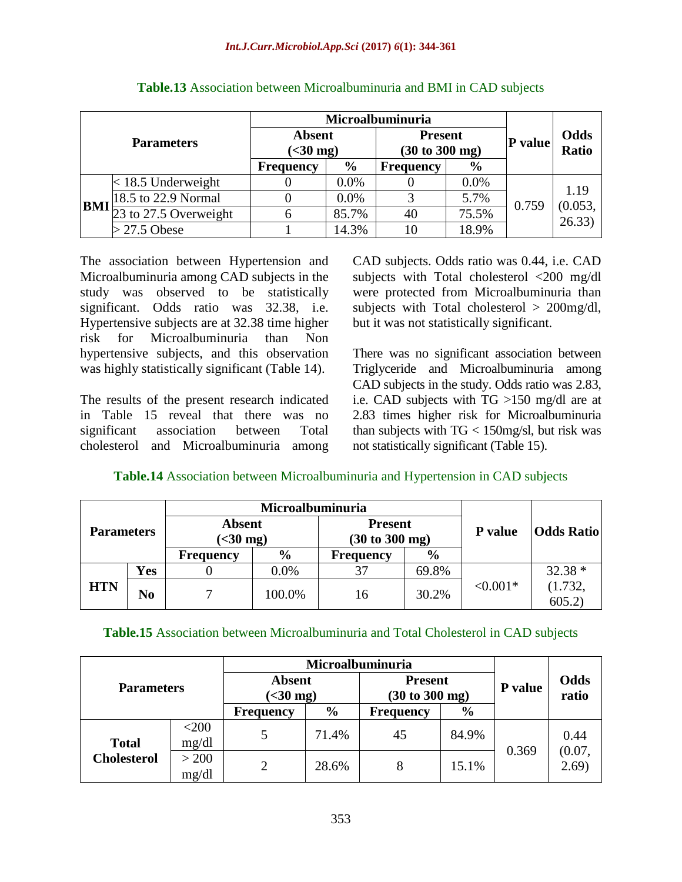| <b>Parameters</b> |                       | Microalbuminuria                    |               |                                                     |               |         |                   |  |
|-------------------|-----------------------|-------------------------------------|---------------|-----------------------------------------------------|---------------|---------|-------------------|--|
|                   |                       | <b>Absent</b><br>$(<30 \text{ mg})$ |               | <b>Present</b><br>$(30 \text{ to } 300 \text{ mg})$ |               | P value | Odds<br>Ratio     |  |
|                   |                       | <b>Frequency</b>                    | $\frac{6}{6}$ | <b>Frequency</b>                                    | $\frac{6}{6}$ |         |                   |  |
|                   | $<$ 18.5 Underweight  |                                     | 0.0%          |                                                     | 0.0%          |         | 1.19              |  |
| <b>BMI</b>        | 18.5 to 22.9 Normal   |                                     | 0.0%          |                                                     | 5.7%          | 0.759   |                   |  |
|                   | 23 to 27.5 Overweight |                                     | 85.7%         | 40                                                  | 75.5%         |         | (0.053,<br>26.33) |  |
|                   | $>$ 27.5 Obese        |                                     | 14.3%         |                                                     | 18.9%         |         |                   |  |

## **Table.13** Association between Microalbuminuria and BMI in CAD subjects

The association between Hypertension and Microalbuminuria among CAD subjects in the study was observed to be statistically significant. Odds ratio was 32.38, i.e. Hypertensive subjects are at 32.38 time higher risk for Microalbuminuria than Non hypertensive subjects, and this observation was highly statistically significant (Table 14).

The results of the present research indicated in Table 15 reveal that there was no significant association between Total cholesterol and Microalbuminuria among CAD subjects. Odds ratio was 0.44, i.e. CAD subjects with Total cholesterol <200 mg/dl were protected from Microalbuminuria than subjects with Total cholesterol > 200mg/dl, but it was not statistically significant.

There was no significant association between Triglyceride and Microalbuminuria among CAD subjects in the study. Odds ratio was 2.83, i.e. CAD subjects with TG >150 mg/dl are at 2.83 times higher risk for Microalbuminuria than subjects with  $TG < 150$  mg/sl, but risk was not statistically significant (Table 15).

# **Table.14** Association between Microalbuminuria and Hypertension in CAD subjects

| <b>Parameters</b> |     |                                     | Microalbuminuria |                                  |               |            |                   |  |
|-------------------|-----|-------------------------------------|------------------|----------------------------------|---------------|------------|-------------------|--|
|                   |     | <b>Absent</b><br>$(<30 \text{ mg})$ |                  | <b>Present</b><br>(30 to 300 mg) |               | P value    | <b>Odds Ratio</b> |  |
|                   |     | <b>Frequency</b>                    | $\%$             | <b>Frequency</b>                 | $\frac{6}{9}$ |            |                   |  |
|                   | Yes |                                     | 0.0%             | 37                               | 69.8%         |            | $32.38*$          |  |
| <b>HTN</b>        | No  |                                     | 100.0%           | 16                               | 30.2%         | $< 0.001*$ | (1.732,<br>605.2  |  |

# **Table.15** Association between Microalbuminuria and Total Cholesterol in CAD subjects

| <b>Parameters</b>  |                  |                                     |               |                                                     |               |         |                |
|--------------------|------------------|-------------------------------------|---------------|-----------------------------------------------------|---------------|---------|----------------|
|                    |                  | <b>Absent</b><br>$(<30 \text{ mg})$ |               | <b>Present</b><br>$(30 \text{ to } 300 \text{ mg})$ |               | P value | Odds<br>ratio  |
|                    |                  | <b>Frequency</b>                    | $\frac{6}{9}$ | <b>Frequency</b>                                    | $\frac{6}{9}$ |         |                |
| <b>Total</b>       | $<$ 200<br>mg/dl |                                     | 71.4%         | 45                                                  | 84.9%         | 0.369   | 0.44<br>(0.07, |
| <b>Cholesterol</b> | > 200<br>mg/dl   | 2                                   | 28.6%         |                                                     | 15.1%         |         | 2.69)          |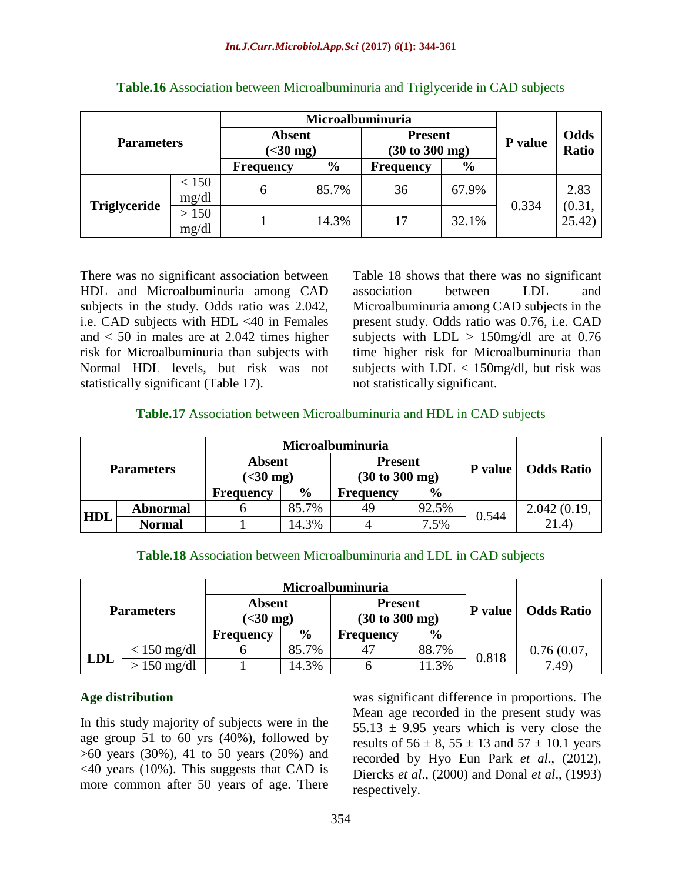| <b>Parameters</b> |                | Microalbuminuria                    |               |                                                     |               |         |                  |
|-------------------|----------------|-------------------------------------|---------------|-----------------------------------------------------|---------------|---------|------------------|
|                   |                | <b>Absent</b><br>$(<30 \text{ mg})$ |               | <b>Present</b><br>$(30 \text{ to } 300 \text{ mg})$ |               | P value | Odds<br>Ratio    |
|                   |                | <b>Frequency</b>                    | $\frac{6}{6}$ | <b>Frequency</b>                                    | $\frac{6}{9}$ |         |                  |
|                   | < 150<br>mg/dl | h                                   | 85.7%         | 36                                                  | 67.9%         | 0.334   | 2.83             |
| Triglyceride      | > 150<br>mg/dl |                                     | 14.3%         | 17                                                  | 32.1%         |         | (0.31,<br>25.42) |

There was no significant association between HDL and Microalbuminuria among CAD subjects in the study. Odds ratio was 2.042, i.e. CAD subjects with HDL <40 in Females and  $< 50$  in males are at 2.042 times higher risk for Microalbuminuria than subjects with Normal HDL levels, but risk was not statistically significant (Table 17).

Table 18 shows that there was no significant association between LDL and Microalbuminuria among CAD subjects in the present study. Odds ratio was 0.76, i.e. CAD subjects with  $LDL > 150$  mg/dl are at 0.76 time higher risk for Microalbuminuria than subjects with  $LDL < 150$  mg/dl, but risk was not statistically significant.

# **Table.17** Association between Microalbuminuria and HDL in CAD subjects

| <b>Parameters</b> |                 |                                     | Microalbuminuria |                                  |               |                |                   |  |
|-------------------|-----------------|-------------------------------------|------------------|----------------------------------|---------------|----------------|-------------------|--|
|                   |                 | <b>Absent</b><br>$(<30 \text{ mg})$ |                  | <b>Present</b><br>(30 to 300 mg) |               | <b>P</b> value | <b>Odds Ratio</b> |  |
|                   |                 | <b>Frequency</b>                    | $\frac{6}{9}$    | <b>Frequency</b>                 | $\frac{6}{9}$ |                |                   |  |
| <b>HDL</b>        | <b>Abnormal</b> |                                     | 85.7%            | 49                               | 92.5%         | 0.544          | 2.042(0.19,       |  |
|                   | Normal          |                                     | 14.3%            |                                  | 7.5%          |                | 21.4)             |  |

| <b>Table.18</b> Association between Microalbuminuria and LDL in CAD subjects |  |
|------------------------------------------------------------------------------|--|
|------------------------------------------------------------------------------|--|

|                   |                     |                                   | Microalbuminuria |                  | <b>Odds Ratio</b> |       |                                                     |  |
|-------------------|---------------------|-----------------------------------|------------------|------------------|-------------------|-------|-----------------------------------------------------|--|
| <b>Parameters</b> |                     | <b>Absent</b><br>$\approx$ 30 mg) |                  |                  |                   |       | <b>Present</b><br>$(30 \text{ to } 300 \text{ mg})$ |  |
|                   |                     | <b>Frequency</b>                  | $\frac{6}{9}$    | <b>Frequency</b> | $\frac{0}{0}$     |       |                                                     |  |
| <b>LDL</b>        | $< 150$ mg/dl       |                                   | 85.7%            |                  | 88.7%             | 0.818 | 0.76(0.07,                                          |  |
|                   | $150 \text{ mg/dl}$ |                                   | 14.3%            |                  | 11.3%             |       | 7.49                                                |  |

# **Age distribution**

In this study majority of subjects were in the age group 51 to 60 yrs (40%), followed by >60 years (30%), 41 to 50 years (20%) and <40 years (10%). This suggests that CAD is more common after 50 years of age. There was significant difference in proportions. The Mean age recorded in the present study was 55.13  $\pm$  9.95 years which is very close the results of  $56 \pm 8$ ,  $55 \pm 13$  and  $57 \pm 10.1$  years recorded by Hyo Eun Park *et al*., (2012), Diercks *et al*., (2000) and Donal *et al*., (1993) respectively.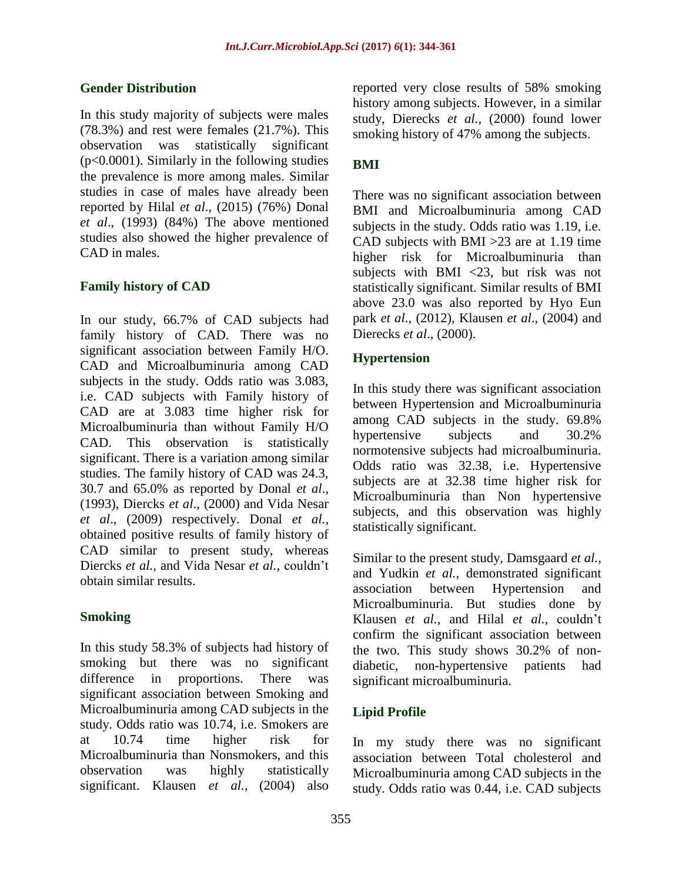# **Gender Distribution**

In this study majority of subjects were males (78.3%) and rest were females (21.7%). This observation was statistically significant  $(p<0.0001)$ . Similarly in the following studies the prevalence is more among males. Similar studies in case of males have already been reported by Hilal *et al*., (2015) (76%) Donal *et al*., (1993) (84%) The above mentioned studies also showed the higher prevalence of CAD in males.

# **Family history of CAD**

In our study, 66.7% of CAD subjects had family history of CAD. There was no significant association between Family H/O. CAD and Microalbuminuria among CAD subjects in the study. Odds ratio was 3.083, i.e. CAD subjects with Family history of CAD are at 3.083 time higher risk for Microalbuminuria than without Family H/O CAD. This observation is statistically significant. There is a variation among similar studies. The family history of CAD was 24.3, 30.7 and 65.0% as reported by Donal *et al*., (1993), Diercks *et al*., (2000) and Vida Nesar *et al*., (2009) respectively. Donal *et al.,* obtained positive results of family history of CAD similar to present study, whereas Diercks *et al.,* and Vida Nesar *et al.,* couldn't obtain similar results.

# **Smoking**

In this study 58.3% of subjects had history of smoking but there was no significant difference in proportions. There was significant association between Smoking and Microalbuminuria among CAD subjects in the study. Odds ratio was 10.74, i.e. Smokers are at 10.74 time higher risk for Microalbuminuria than Nonsmokers, and this observation was highly statistically significant. Klausen *et al.,* (2004) also

reported very close results of 58% smoking history among subjects. However, in a similar study, Dierecks *et al.,* (2000) found lower smoking history of 47% among the subjects.

# **BMI**

There was no significant association between BMI and Microalbuminuria among CAD subjects in the study. Odds ratio was 1.19, i.e. CAD subjects with BMI >23 are at 1.19 time higher risk for Microalbuminuria than subjects with BMI <23, but risk was not statistically significant. Similar results of BMI above 23.0 was also reported by Hyo Eun park *et al*., (2012), Klausen *et al*., (2004) and Dierecks *et al*., (2000).

# **Hypertension**

In this study there was significant association between Hypertension and Microalbuminuria among CAD subjects in the study. 69.8% hypertensive subjects and 30.2% normotensive subjects had microalbuminuria. Odds ratio was 32.38, i.e. Hypertensive subjects are at 32.38 time higher risk for Microalbuminuria than Non hypertensive subjects, and this observation was highly statistically significant.

Similar to the present study, Damsgaard *et al.,* and Yudkin *et al.,* demonstrated significant association between Hypertension and Microalbuminuria. But studies done by Klausen *et al.,* and Hilal *et al.,* couldn't confirm the significant association between the two. This study shows 30.2% of nondiabetic, non-hypertensive patients had significant microalbuminuria.

# **Lipid Profile**

In my study there was no significant association between Total cholesterol and Microalbuminuria among CAD subjects in the study. Odds ratio was 0.44, i.e. CAD subjects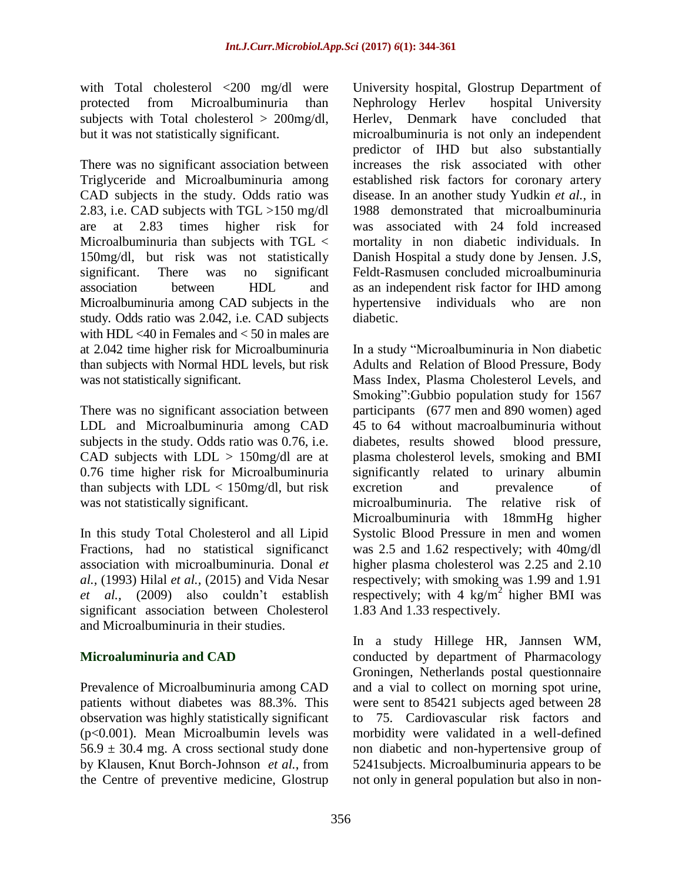with Total cholesterol <200 mg/dl were protected from Microalbuminuria than subjects with Total cholesterol > 200mg/dl, but it was not statistically significant.

There was no significant association between Triglyceride and Microalbuminuria among CAD subjects in the study. Odds ratio was 2.83, i.e. CAD subjects with TGL >150 mg/dl are at 2.83 times higher risk for Microalbuminuria than subjects with TGL < 150mg/dl, but risk was not statistically significant. There was no significant association between HDL and Microalbuminuria among CAD subjects in the study. Odds ratio was 2.042, i.e. CAD subjects with HDL  $\leq 40$  in Females and  $\leq 50$  in males are at 2.042 time higher risk for Microalbuminuria than subjects with Normal HDL levels, but risk was not statistically significant.

There was no significant association between LDL and Microalbuminuria among CAD subjects in the study. Odds ratio was 0.76, i.e. CAD subjects with  $LDL > 150$ mg/dl are at 0.76 time higher risk for Microalbuminuria than subjects with  $LDL < 150$  mg/dl, but risk was not statistically significant.

In this study Total Cholesterol and all Lipid Fractions, had no statistical significanct association with microalbuminuria. Donal *et al.,* (1993) Hilal *et al.,* (2015) and Vida Nesar *et al.,* (2009) also couldn't establish significant association between Cholesterol and Microalbuminuria in their studies.

# **Microaluminuria and CAD**

Prevalence of Microalbuminuria among CAD patients without diabetes was 88.3%. This observation was highly statistically significant (p<0.001). Mean Microalbumin levels was  $56.9 \pm 30.4$  mg. A cross sectional study done by Klausen, Knut Borch-Johnson *et al.*, from the Centre of preventive medicine, Glostrup

University hospital, Glostrup Department of Nephrology Herlev hospital University Herlev, Denmark have concluded that microalbuminuria is not only an independent predictor of IHD but also substantially increases the risk associated with other established risk factors for coronary artery disease. In an another study Yudkin *et al.,* in 1988 demonstrated that microalbuminuria was associated with 24 fold increased mortality in non diabetic individuals. In Danish Hospital a study done by Jensen. J.S, Feldt-Rasmusen concluded microalbuminuria as an independent risk factor for IHD among hypertensive individuals who are non diabetic.

In a study "Microalbuminuria in Non diabetic Adults and Relation of Blood Pressure, Body Mass Index, Plasma Cholesterol Levels, and Smoking":Gubbio population study for 1567 participants (677 men and 890 women) aged 45 to 64 without macroalbuminuria without diabetes, results showed blood pressure, plasma cholesterol levels, smoking and BMI significantly related to urinary albumin excretion and prevalence of microalbuminuria. The relative risk of Microalbuminuria with 18mmHg higher Systolic Blood Pressure in men and women was 2.5 and 1.62 respectively; with 40mg/dl higher plasma cholesterol was 2.25 and 2.10 respectively; with smoking was 1.99 and 1.91 respectively; with 4  $\text{kg/m}^2$  higher BMI was 1.83 And 1.33 respectively.

In a study Hillege HR, Jannsen WM, conducted by department of Pharmacology Groningen, Netherlands postal questionnaire and a vial to collect on morning spot urine, were sent to 85421 subjects aged between 28 to 75. Cardiovascular risk factors and morbidity were validated in a well-defined non diabetic and non-hypertensive group of 5241subjects. Microalbuminuria appears to be not only in general population but also in non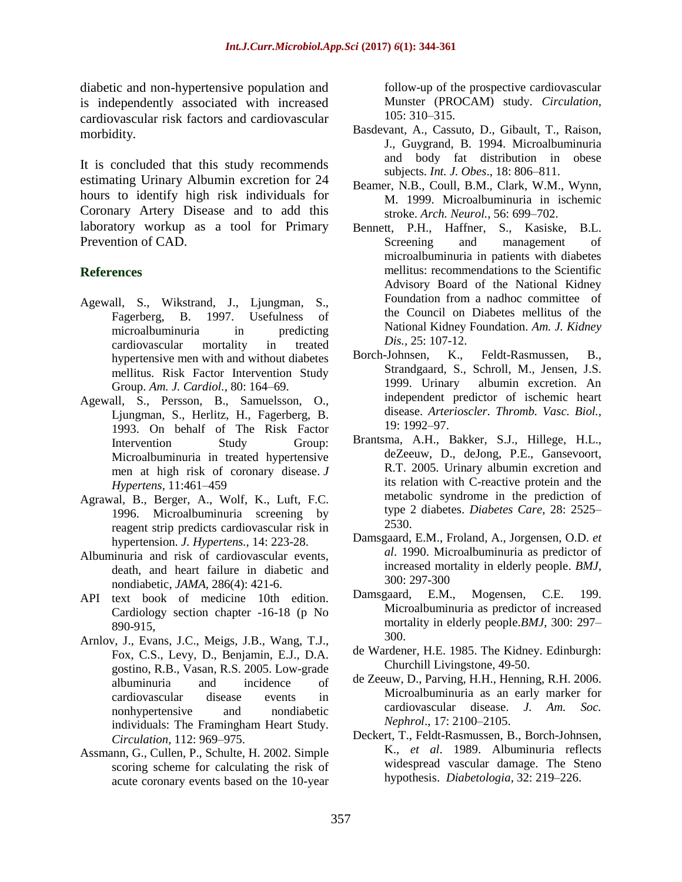diabetic and non-hypertensive population and is independently associated with increased cardiovascular risk factors and cardiovascular morbidity.

It is concluded that this study recommends estimating Urinary Albumin excretion for 24 hours to identify high risk individuals for Coronary Artery Disease and to add this laboratory workup as a tool for Primary Prevention of CAD.

#### **References**

- Agewall, S., Wikstrand, J., Ljungman, S., Fagerberg, B. 1997. Usefulness of microalbuminuria in predicting cardiovascular mortality in treated hypertensive men with and without diabetes mellitus. Risk Factor Intervention Study Group. *Am. J. Cardiol.,* 80: 164–69.
- Agewall, S., Persson, B., Samuelsson, O., Ljungman, S., Herlitz, H., Fagerberg, B. 1993. On behalf of The Risk Factor Intervention Study Group: Microalbuminuria in treated hypertensive men at high risk of coronary disease. *J Hypertens,* 11:461–459
- Agrawal, B., Berger, A., Wolf, K., Luft, F.C. 1996. Microalbuminuria screening by reagent strip predicts cardiovascular risk in hypertension. *J. Hypertens.,* 14: 223-28.
- Albuminuria and risk of cardiovascular events, death, and heart failure in diabetic and nondiabetic, *JAMA,* 286(4): 421-6.
- API text book of medicine 10th edition. Cardiology section chapter -16-18 (p No 890-915,
- Arnlov, J., Evans, J.C., Meigs, J.B., Wang, T.J., Fox, C.S., Levy, D., Benjamin, E.J., D.A. gostino, R.B., Vasan, R.S. 2005. Low-grade albuminuria and incidence of cardiovascular disease events in nonhypertensive and nondiabetic individuals: The Framingham Heart Study. *Circulation*, 112: 969–975.
- Assmann, G., Cullen, P., Schulte, H. 2002. Simple scoring scheme for calculating the risk of acute coronary events based on the 10-year

follow-up of the prospective cardiovascular Munster (PROCAM) study. *Circulation,*  105: 310–315.

- Basdevant, A., Cassuto, D., Gibault, T., Raison, J., Guygrand, B. 1994. Microalbuminuria and body fat distribution in obese subjects. *Int. J. Obes*., 18: 806–811.
- Beamer, N.B., Coull, B.M., Clark, W.M., Wynn, M. 1999. Microalbuminuria in ischemic stroke. *Arch. Neurol.,* 56: 699–702.
- Bennett, P.H., Haffner, S., Kasiske, B.L. Screening and management of microalbuminuria in patients with diabetes mellitus: recommendations to the Scientific Advisory Board of the National Kidney Foundation from a nadhoc committee of the Council on Diabetes mellitus of the National Kidney Foundation. *Am. J. Kidney Dis.,* 25: 107-12.
- Borch-Johnsen, K., Feldt-Rasmussen, B., Strandgaard, S., Schroll, M., Jensen, J.S. 1999. Urinary albumin excretion. An independent predictor of ischemic heart disease. *Arterioscler. Thromb. Vasc. Biol.,* 19: 1992–97.
- Brantsma, A.H., Bakker, S.J., Hillege, H.L., deZeeuw, D., deJong, P.E., Gansevoort, R.T. 2005. Urinary albumin excretion and its relation with C-reactive protein and the metabolic syndrome in the prediction of type 2 diabetes. *Diabetes Care*, 28: 2525– 2530.
- Damsgaard, E.M., Froland, A., Jorgensen, O.D. *et al*. 1990. Microalbuminuria as predictor of increased mortality in elderly people. *BMJ,* 300: 297-300
- Damsgaard, E.M., Mogensen, C.E. 199. Microalbuminuria as predictor of increased mortality in elderly people.*BMJ*, 300: 297– 300.
- de Wardener, H.E. 1985. The Kidney. Edinburgh: Churchill Livingstone, 49-50.
- de Zeeuw, D., Parving, H.H., Henning, R.H. 2006. Microalbuminuria as an early marker for cardiovascular disease. *J. Am. Soc. Nephrol*., 17: 2100–2105.
- Deckert, T., Feldt-Rasmussen, B., Borch-Johnsen, K., *et al*. 1989. Albuminuria reflects widespread vascular damage. The Steno hypothesis. *Diabetologia,* 32: 219–226.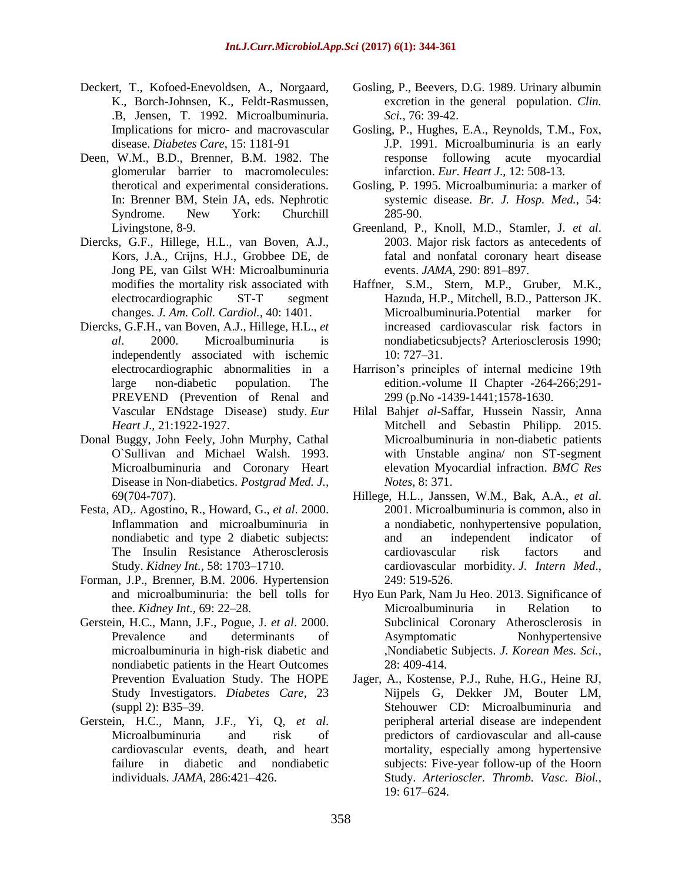- Deckert, T., Kofoed-Enevoldsen, A., Norgaard, K., Borch-Johnsen, K., Feldt-Rasmussen, .B, Jensen, T. 1992. Microalbuminuria. Implications for micro- and macrovascular disease. *Diabetes Care*, 15: 1181-91
- Deen, W.M., B.D., Brenner, B.M. 1982. The glomerular barrier to macromolecules: therotical and experimental considerations. In: Brenner BM, Stein JA, eds. Nephrotic Syndrome. New York: Churchill Livingstone, 8-9.
- Diercks, G.F., Hillege, H.L., van Boven, A.J., Kors, J.A., Crijns, H.J., Grobbee DE, de Jong PE, van Gilst WH: Microalbuminuria modifies the mortality risk associated with electrocardiographic ST-T segment changes. *J. Am. Coll. Cardiol.,* 40: 1401.
- Diercks, G.F.H., van Boven, A.J., Hillege, H.L., *et al*. 2000. Microalbuminuria is independently associated with ischemic electrocardiographic abnormalities in a large non-diabetic population. The PREVEND (Prevention of Renal and Vascular ENdstage Disease) study. *Eur Heart J*., 21:1922-1927.
- Donal Buggy, John Feely, John Murphy, Cathal O`Sullivan and Michael Walsh. 1993. Microalbuminuria and Coronary Heart Disease in Non-diabetics. *Postgrad Med. J.,* 69(704-707).
- Festa, AD,. Agostino, R., Howard, G., *et al*. 2000. Inflammation and microalbuminuria in nondiabetic and type 2 diabetic subjects: The Insulin Resistance Atherosclerosis Study. *Kidney Int.,* 58: 1703–1710.
- Forman, J.P., Brenner, B.M. 2006. Hypertension and microalbuminuria: the bell tolls for thee. *Kidney Int.*, 69: 22–28.
- Gerstein, H.C., Mann, J.F., Pogue, J. *et al*. 2000. Prevalence and determinants of microalbuminuria in high-risk diabetic and nondiabetic patients in the Heart Outcomes Prevention Evaluation Study. The HOPE Study Investigators. *Diabetes Care*, 23 (suppl 2): B35–39.
- Gerstein, H.C., Mann, J.F., Yi, Q, *et al*. Microalbuminuria and risk of cardiovascular events, death, and heart failure in diabetic and nondiabetic individuals. *JAMA,* 286:421–426.
- Gosling, P., Beevers, D.G. 1989. Urinary albumin excretion in the general population. *Clin. Sci.,* 76: 39-42.
- Gosling, P., Hughes, E.A., Reynolds, T.M., Fox, J.P. 1991. Microalbuminuria is an early response following acute myocardial infarction. *Eur. Heart J*., 12: 508-13.
- Gosling, P. 1995. Microalbuminuria: a marker of systemic disease. *Br. J. Hosp. Med.,* 54: 285-90.
- Greenland, P., Knoll, M.D., Stamler, J. *et al*. 2003. Major risk factors as antecedents of fatal and nonfatal coronary heart disease events. *JAMA*, 290: 891–897.
- Haffner, S.M., Stern, M.P., Gruber, M.K., Hazuda, H.P., Mitchell, B.D., Patterson JK. Microalbuminuria.Potential marker for increased cardiovascular risk factors in nondiabeticsubjects? Arteriosclerosis 1990; 10: 727–31.
- Harrison's principles of internal medicine 19th edition.-volume II Chapter -264-266;291- 299 (p.No -1439-1441;1578-1630.
- Hilal Bahj*et al*-Saffar, Hussein Nassir, Anna Mitchell and Sebastin Philipp. 2015. Microalbuminuria in non-diabetic patients with Unstable angina/ non ST-segment elevation Myocardial infraction. *BMC Res Notes*, 8: 371.
- Hillege, H.L., Janssen, W.M., Bak, A.A., *et al*. 2001. Microalbuminuria is common, also in a nondiabetic, nonhypertensive population, and an independent indicator of cardiovascular risk factors and cardiovascular morbidity. *J. Intern Med*., 249: 519-526.
- Hyo Eun Park, Nam Ju Heo. 2013. Significance of Microalbuminuria in Relation to Subclinical Coronary Atherosclerosis in Asymptomatic Nonhypertensive ,Nondiabetic Subjects. *J. Korean Mes. Sci.,* 28: 409-414.
- Jager, A., Kostense, P.J., Ruhe, H.G., Heine RJ, Nijpels G, Dekker JM, Bouter LM, Stehouwer CD: Microalbuminuria and peripheral arterial disease are independent predictors of cardiovascular and all-cause mortality, especially among hypertensive subjects: Five-year follow-up of the Hoorn Study. *Arterioscler. Thromb. Vasc. Biol.,* 19: 617–624.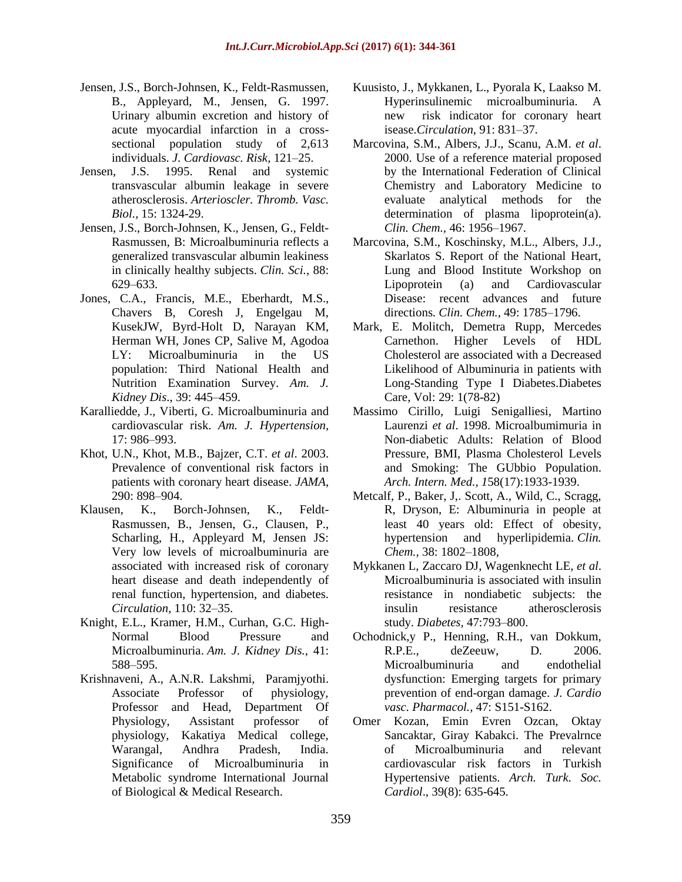- Jensen, J.S., Borch-Johnsen, K., Feldt-Rasmussen, B., Appleyard, M., Jensen, G. 1997. Urinary albumin excretion and history of acute myocardial infarction in a crosssectional population study of 2,613 individuals. *J. Cardiovasc. Risk,* 121–25.
- Jensen, J.S. 1995. Renal and systemic transvascular albumin leakage in severe atherosclerosis. *Arterioscler. Thromb. Vasc. Biol.,* 15: 1324-29.
- Jensen, J.S., Borch-Johnsen, K., Jensen, G., Feldt-Rasmussen, B: Microalbuminuria reflects a generalized transvascular albumin leakiness in clinically healthy subjects. *Clin. Sci.,* 88: 629–633.
- Jones, C.A., Francis, M.E., Eberhardt, M.S., Chavers B, Coresh J, Engelgau M, KusekJW, Byrd-Holt D, Narayan KM, Herman WH, Jones CP, Salive M, Agodoa LY: Microalbuminuria in the US population: Third National Health and Nutrition Examination Survey. *Am. J. Kidney Dis*., 39: 445–459.
- Karalliedde, J., Viberti, G. Microalbuminuria and cardiovascular risk. *Am. J. Hypertension,* 17: 986–993.
- Khot, U.N., Khot, M.B., Bajzer, C.T. *et al*. 2003. Prevalence of conventional risk factors in patients with coronary heart disease. *JAMA*, 290: 898–904.
- Klausen, K., Borch-Johnsen, K., Feldt-Rasmussen, B., Jensen, G., Clausen, P., Scharling, H., Appleyard M, Jensen JS: Very low levels of microalbuminuria are associated with increased risk of coronary heart disease and death independently of renal function, hypertension, and diabetes. *Circulation,* 110: 32–35.
- Knight, E.L., Kramer, H.M., Curhan, G.C. High-Normal Blood Pressure and Microalbuminuria. *Am. J. Kidney Dis.,* 41: 588–595.
- Krishnaveni, A., A.N.R. Lakshmi, Paramjyothi. Associate Professor of physiology, Professor and Head, Department Of Physiology, Assistant professor of physiology, Kakatiya Medical college, Warangal, Andhra Pradesh, India. Significance of Microalbuminuria in Metabolic syndrome International Journal of Biological & Medical Research.
- Kuusisto, J., Mykkanen, L., Pyorala K, Laakso M. Hyperinsulinemic microalbuminuria. A new risk indicator for coronary heart isease*.Circulation*, 91: 831–37.
- Marcovina, S.M., Albers, J.J., Scanu, A.M. *et al*. 2000. Use of a reference material proposed by the International Federation of Clinical Chemistry and Laboratory Medicine to evaluate analytical methods for the determination of plasma lipoprotein(a). *Clin. Chem.,* 46: 1956–1967.
- Marcovina, S.M., Koschinsky, M.L., Albers, J.J., Skarlatos S. Report of the National Heart, Lung and Blood Institute Workshop on Lipoprotein (a) and Cardiovascular Disease: recent advances and future directions. *Clin. Chem.,* 49: 1785–1796.
- Mark, E. Molitch, Demetra Rupp, Mercedes Carnethon. Higher Levels of HDL Cholesterol are associated with a Decreased Likelihood of Albuminuria in patients with Long-Standing Type I Diabetes.Diabetes Care, Vol: 29: 1(78-82)
- Massimo Cirillo, Luigi Senigalliesi, Martino Laurenzi *et al*. 1998. Microalbumimuria in Non-diabetic Adults: Relation of Blood Pressure, BMI, Plasma Cholesterol Levels and Smoking: The GUbbio Population. *Arch. Intern. Med., 1*58(17):1933-1939.
- Metcalf, P., Baker, J,. Scott, A., Wild, C., Scragg, R, Dryson, E: Albuminuria in people at least 40 years old: Effect of obesity, hypertension and hyperlipidemia. *Clin. Chem.,* 38: 1802–1808,
- Mykkanen L, Zaccaro DJ, Wagenknecht LE, *et al*. Microalbuminuria is associated with insulin resistance in nondiabetic subjects: the insulin resistance atherosclerosis study. *Diabetes,* 47:793–800.
- Ochodnick,y P., Henning, R.H., van Dokkum, R.P.E., deZeeuw, D. 2006. Microalbuminuria and endothelial dysfunction: Emerging targets for primary prevention of end-organ damage. *J. Cardio vasc. Pharmacol.,* 47: S151-S162.
- Omer Kozan, Emin Evren Ozcan, Oktay Sancaktar, Giray Kabakci. The Prevalrnce of Microalbuminuria and relevant cardiovascular risk factors in Turkish Hypertensive patients. *Arch. Turk. Soc. Cardiol*., 39(8): 635-645.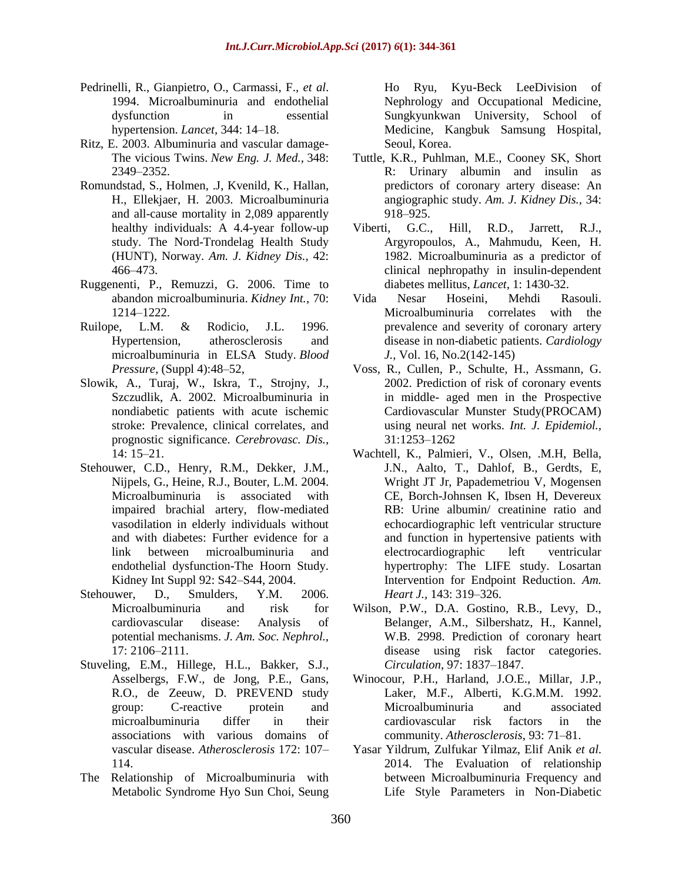- Pedrinelli, R., Gianpietro, O., Carmassi, F., *et al*. 1994. Microalbuminuria and endothelial dysfunction in essential hypertension. *Lancet,* 344: 14–18.
- Ritz, E. 2003. Albuminuria and vascular damage-The vicious Twins. *New Eng. J. Med.,* 348: 2349–2352.
- Romundstad, S., Holmen, .J, Kvenild, K., Hallan, H., Ellekjaer, H. 2003. Microalbuminuria and all-cause mortality in 2,089 apparently healthy individuals: A 4.4-year follow-up study. The Nord-Trondelag Health Study (HUNT), Norway. *Am. J. Kidney Dis.,* 42: 466–473.
- Ruggenenti, P., Remuzzi, G. 2006. Time to abandon microalbuminuria. *Kidney Int.,* 70: 1214–1222.
- Ruilope, L.M. & Rodicio, J.L. 1996. Hypertension, atherosclerosis and microalbuminuria in ELSA Study. *Blood Pressure,* (Suppl 4):48–52,
- Slowik, A., Turaj, W., Iskra, T., Strojny, J., Szczudlik, A. 2002. Microalbuminuria in nondiabetic patients with acute ischemic stroke: Prevalence, clinical correlates, and prognostic significance. *Cerebrovasc. Dis.,* 14: 15–21.
- Stehouwer, C.D., Henry, R.M., Dekker, J.M., Nijpels, G., Heine, R.J., Bouter, L.M. 2004. Microalbuminuria is associated with impaired brachial artery, flow-mediated vasodilation in elderly individuals without and with diabetes: Further evidence for a link between microalbuminuria and endothelial dysfunction-The Hoorn Study. Kidney Int Suppl 92: S42–S44, 2004.
- Stehouwer, D., Smulders, Y.M. 2006. Microalbuminuria and risk for cardiovascular disease: Analysis of potential mechanisms. *J. Am. Soc. Nephrol.,* 17: 2106–2111.
- Stuveling, E.M., Hillege, H.L., Bakker, S.J., Asselbergs, F.W., de Jong, P.E., Gans, R.O., de Zeeuw, D. PREVEND study group: C-reactive protein and microalbuminuria differ in their associations with various domains of vascular disease. *Atherosclerosis* 172: 107– 114.
- The Relationship of Microalbuminuria with Metabolic Syndrome Hyo Sun Choi, Seung

Ho Ryu, Kyu-Beck LeeDivision of Nephrology and Occupational Medicine, Sungkyunkwan University, School of Medicine, Kangbuk Samsung Hospital, Seoul, Korea.

- Tuttle, K.R., Puhlman, M.E., Cooney SK, Short R: Urinary albumin and insulin as predictors of coronary artery disease: An angiographic study. *Am. J. Kidney Dis.,* 34: 918–925.
- Viberti, G.C., Hill, R.D., Jarrett, R.J., Argyropoulos, A., Mahmudu, Keen, H. 1982. Microalbuminuria as a predictor of clinical nephropathy in insulin-dependent diabetes mellitus, *Lancet*, 1: 1430-32.
- Vida Nesar Hoseini, Mehdi Rasouli. Microalbuminuria correlates with the prevalence and severity of coronary artery disease in non-diabetic patients. *Cardiology J.,* Vol. 16, No.2(142-145)
- Voss, R., Cullen, P., Schulte, H., Assmann, G. 2002. Prediction of risk of coronary events in middle- aged men in the Prospective Cardiovascular Munster Study(PROCAM) using neural net works. *Int. J. Epidemiol.,* 31:1253–1262
- Wachtell, K., Palmieri, V., Olsen, .M.H, Bella, J.N., Aalto, T., Dahlof, B., Gerdts, E, Wright JT Jr, Papademetriou V, Mogensen CE, Borch-Johnsen K, Ibsen H, Devereux RB: Urine albumin/ creatinine ratio and echocardiographic left ventricular structure and function in hypertensive patients with electrocardiographic left ventricular hypertrophy: The LIFE study. Losartan Intervention for Endpoint Reduction. *Am. Heart J.,* 143: 319–326.
- Wilson, P.W., D.A. Gostino, R.B., Levy, D., Belanger, A.M., Silbershatz, H., Kannel, W.B. 2998. Prediction of coronary heart disease using risk factor categories. *Circulation*, 97: 1837–1847.
- Winocour, P.H., Harland, J.O.E., Millar, J.P., Laker, M.F., Alberti, K.G.M.M. 1992. Microalbuminuria and associated cardiovascular risk factors in the community. *Atherosclerosis*, 93: 71–81.
- Yasar Yildrum, Zulfukar Yilmaz, Elif Anik *et al*. 2014. The Evaluation of relationship between Microalbuminuria Frequency and Life Style Parameters in Non-Diabetic